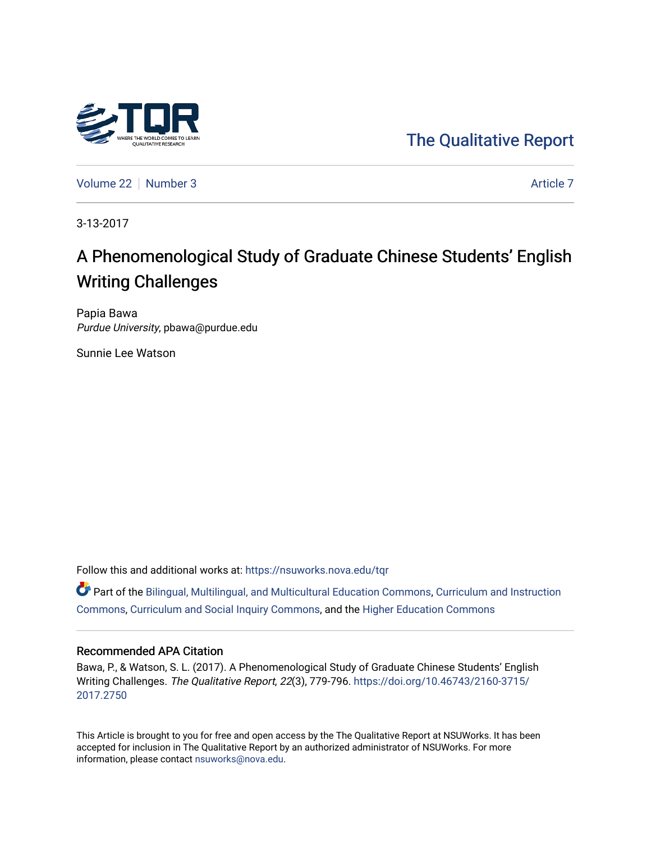

[The Qualitative Report](https://nsuworks.nova.edu/tqr) 

[Volume 22](https://nsuworks.nova.edu/tqr/vol22) [Number 3](https://nsuworks.nova.edu/tqr/vol22/iss3) [Article 7](https://nsuworks.nova.edu/tqr/vol22/iss3/7) Article 7 Article 7 Article 7 Article 7 Article 7 Article 7

3-13-2017

# A Phenomenological Study of Graduate Chinese Students' English Writing Challenges

Papia Bawa Purdue University, pbawa@purdue.edu

Sunnie Lee Watson

Follow this and additional works at: [https://nsuworks.nova.edu/tqr](https://nsuworks.nova.edu/tqr?utm_source=nsuworks.nova.edu%2Ftqr%2Fvol22%2Fiss3%2F7&utm_medium=PDF&utm_campaign=PDFCoverPages) 

Part of the [Bilingual, Multilingual, and Multicultural Education Commons,](http://network.bepress.com/hgg/discipline/785?utm_source=nsuworks.nova.edu%2Ftqr%2Fvol22%2Fiss3%2F7&utm_medium=PDF&utm_campaign=PDFCoverPages) [Curriculum and Instruction](http://network.bepress.com/hgg/discipline/786?utm_source=nsuworks.nova.edu%2Ftqr%2Fvol22%2Fiss3%2F7&utm_medium=PDF&utm_campaign=PDFCoverPages)  [Commons](http://network.bepress.com/hgg/discipline/786?utm_source=nsuworks.nova.edu%2Ftqr%2Fvol22%2Fiss3%2F7&utm_medium=PDF&utm_campaign=PDFCoverPages), [Curriculum and Social Inquiry Commons](http://network.bepress.com/hgg/discipline/1038?utm_source=nsuworks.nova.edu%2Ftqr%2Fvol22%2Fiss3%2F7&utm_medium=PDF&utm_campaign=PDFCoverPages), and the [Higher Education Commons](http://network.bepress.com/hgg/discipline/1245?utm_source=nsuworks.nova.edu%2Ftqr%2Fvol22%2Fiss3%2F7&utm_medium=PDF&utm_campaign=PDFCoverPages) 

#### Recommended APA Citation

Bawa, P., & Watson, S. L. (2017). A Phenomenological Study of Graduate Chinese Students' English Writing Challenges. The Qualitative Report, 22(3), 779-796. [https://doi.org/10.46743/2160-3715/](https://doi.org/10.46743/2160-3715/2017.2750) [2017.2750](https://doi.org/10.46743/2160-3715/2017.2750) 

This Article is brought to you for free and open access by the The Qualitative Report at NSUWorks. It has been accepted for inclusion in The Qualitative Report by an authorized administrator of NSUWorks. For more information, please contact [nsuworks@nova.edu.](mailto:nsuworks@nova.edu)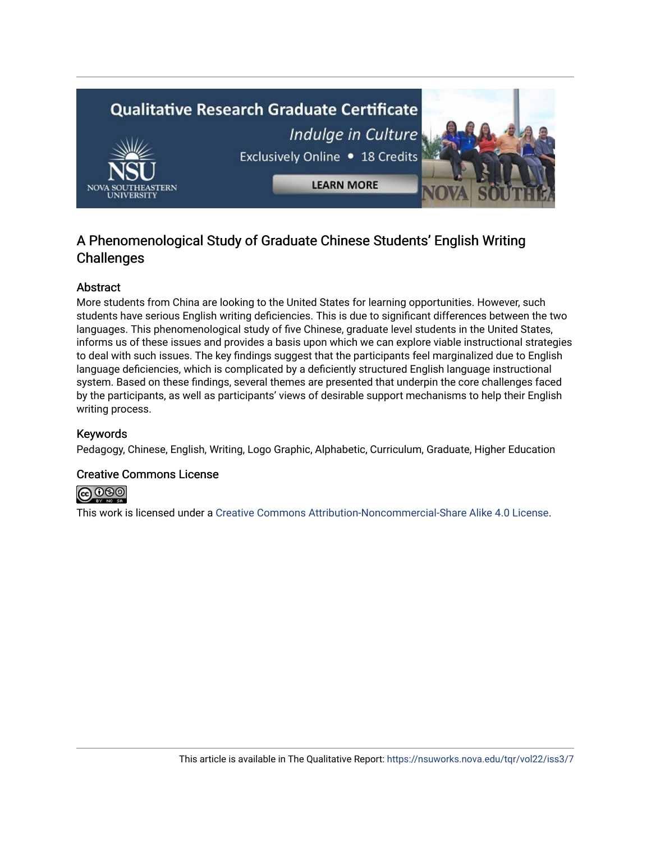

# A Phenomenological Study of Graduate Chinese Students' English Writing **Challenges**

# Abstract

More students from China are looking to the United States for learning opportunities. However, such students have serious English writing deficiencies. This is due to significant differences between the two languages. This phenomenological study of five Chinese, graduate level students in the United States, informs us of these issues and provides a basis upon which we can explore viable instructional strategies to deal with such issues. The key findings suggest that the participants feel marginalized due to English language deficiencies, which is complicated by a deficiently structured English language instructional system. Based on these findings, several themes are presented that underpin the core challenges faced by the participants, as well as participants' views of desirable support mechanisms to help their English writing process.

# Keywords

Pedagogy, Chinese, English, Writing, Logo Graphic, Alphabetic, Curriculum, Graduate, Higher Education

# Creative Commons License



This work is licensed under a [Creative Commons Attribution-Noncommercial-Share Alike 4.0 License](https://creativecommons.org/licenses/by-nc-sa/4.0/).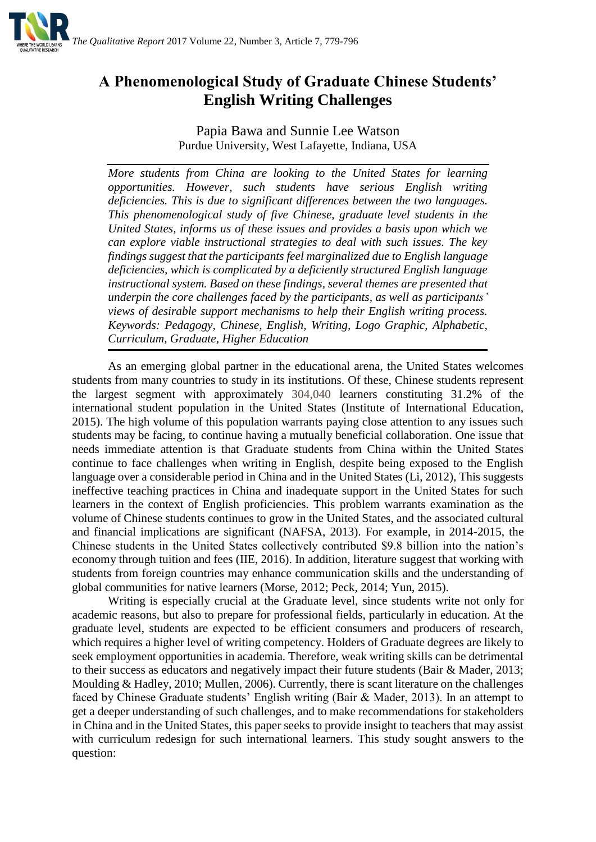

# **A Phenomenological Study of Graduate Chinese Students' English Writing Challenges**

Papia Bawa and Sunnie Lee Watson Purdue University, West Lafayette, Indiana, USA

*More students from China are looking to the United States for learning opportunities. However, such students have serious English writing deficiencies. This is due to significant differences between the two languages. This phenomenological study of five Chinese, graduate level students in the United States, informs us of these issues and provides a basis upon which we can explore viable instructional strategies to deal with such issues. The key findings suggest that the participants feel marginalized due to English language deficiencies, which is complicated by a deficiently structured English language instructional system. Based on these findings, several themes are presented that underpin the core challenges faced by the participants, as well as participants' views of desirable support mechanisms to help their English writing process. Keywords: Pedagogy, Chinese, English, Writing, Logo Graphic, Alphabetic, Curriculum, Graduate, Higher Education* 

As an emerging global partner in the educational arena, the United States welcomes students from many countries to study in its institutions. Of these, Chinese students represent the largest segment with approximately 304,040 learners constituting 31.2% of the international student population in the United States (Institute of International Education, 2015). The high volume of this population warrants paying close attention to any issues such students may be facing, to continue having a mutually beneficial collaboration. One issue that needs immediate attention is that Graduate students from China within the United States continue to face challenges when writing in English, despite being exposed to the English language over a considerable period in China and in the United States (Li, 2012). This suggests ineffective teaching practices in China and inadequate support in the United States for such learners in the context of English proficiencies. This problem warrants examination as the volume of Chinese students continues to grow in the United States, and the associated cultural and financial implications are significant (NAFSA, 2013). For example, in 2014-2015, the Chinese students in the United States collectively contributed \$9.8 billion into the nation's economy through tuition and fees (IIE, 2016). In addition, literature suggest that working with students from foreign countries may enhance communication skills and the understanding of global communities for native learners (Morse, 2012; Peck, 2014; Yun, 2015).

Writing is especially crucial at the Graduate level, since students write not only for academic reasons, but also to prepare for professional fields, particularly in education. At the graduate level, students are expected to be efficient consumers and producers of research, which requires a higher level of writing competency. Holders of Graduate degrees are likely to seek employment opportunities in academia. Therefore, weak writing skills can be detrimental to their success as educators and negatively impact their future students (Bair & Mader, 2013; Moulding & Hadley, 2010; Mullen, 2006). Currently, there is scant literature on the challenges faced by Chinese Graduate students' English writing (Bair & Mader, 2013). In an attempt to get a deeper understanding of such challenges, and to make recommendations for stakeholders in China and in the United States, this paper seeks to provide insight to teachers that may assist with curriculum redesign for such international learners. This study sought answers to the question: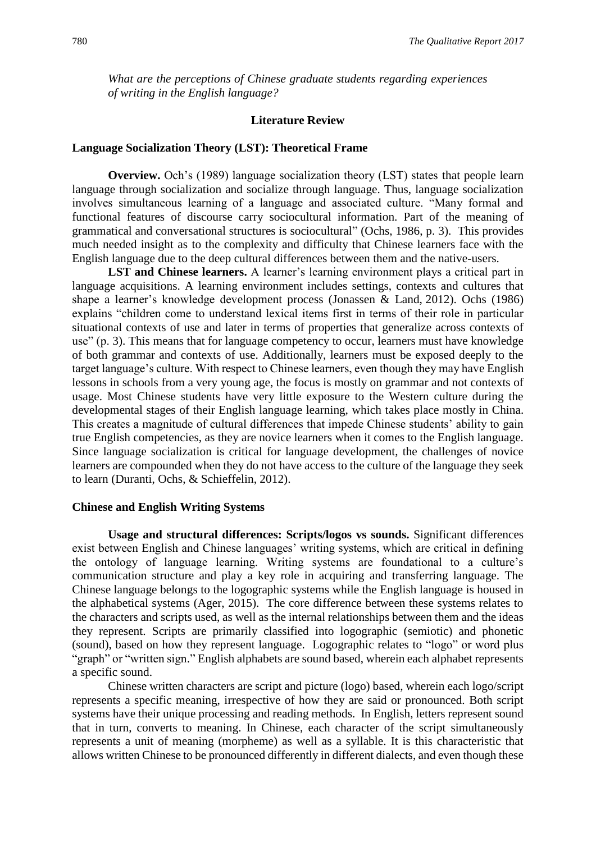*What are the perceptions of Chinese graduate students regarding experiences of writing in the English language?* 

#### **Literature Review**

#### **Language Socialization Theory (LST): Theoretical Frame**

**Overview.** Och's (1989) language socialization theory (LST) states that people learn language through socialization and socialize through language. Thus, language socialization involves simultaneous learning of a language and associated culture. "Many formal and functional features of discourse carry sociocultural information. Part of the meaning of grammatical and conversational structures is sociocultural" (Ochs, 1986, p. 3). This provides much needed insight as to the complexity and difficulty that Chinese learners face with the English language due to the deep cultural differences between them and the native-users.

**LST and Chinese learners.** A learner's learning environment plays a critical part in language acquisitions. A learning environment includes settings, contexts and cultures that shape a learner's knowledge development process (Jonassen & Land, 2012). Ochs (1986) explains "children come to understand lexical items first in terms of their role in particular situational contexts of use and later in terms of properties that generalize across contexts of use" (p. 3). This means that for language competency to occur, learners must have knowledge of both grammar and contexts of use. Additionally, learners must be exposed deeply to the target language's culture. With respect to Chinese learners, even though they may have English lessons in schools from a very young age, the focus is mostly on grammar and not contexts of usage. Most Chinese students have very little exposure to the Western culture during the developmental stages of their English language learning, which takes place mostly in China. This creates a magnitude of cultural differences that impede Chinese students' ability to gain true English competencies, as they are novice learners when it comes to the English language. Since language socialization is critical for language development, the challenges of novice learners are compounded when they do not have access to the culture of the language they seek to learn (Duranti, Ochs, & Schieffelin, 2012).

#### **Chinese and English Writing Systems**

**Usage and structural differences: Scripts/logos vs sounds.** Significant differences exist between English and Chinese languages' writing systems, which are critical in defining the ontology of language learning. Writing systems are foundational to a culture's communication structure and play a key role in acquiring and transferring language. The Chinese language belongs to the logographic systems while the English language is housed in the alphabetical systems (Ager, 2015). The core difference between these systems relates to the characters and scripts used, as well as the internal relationships between them and the ideas they represent. Scripts are primarily classified into logographic (semiotic) and phonetic (sound), based on how they represent language. Logographic relates to "logo" or word plus "graph" or "written sign." English alphabets are sound based, wherein each alphabet represents a specific sound.

Chinese written characters are script and picture (logo) based, wherein each logo/script represents a specific meaning, irrespective of how they are said or pronounced. Both script systems have their unique processing and reading methods. In English, letters represent sound that in turn, converts to meaning. In Chinese, each character of the script simultaneously represents a unit of meaning (morpheme) as well as a syllable. It is this characteristic that allows written Chinese to be pronounced differently in different dialects, and even though these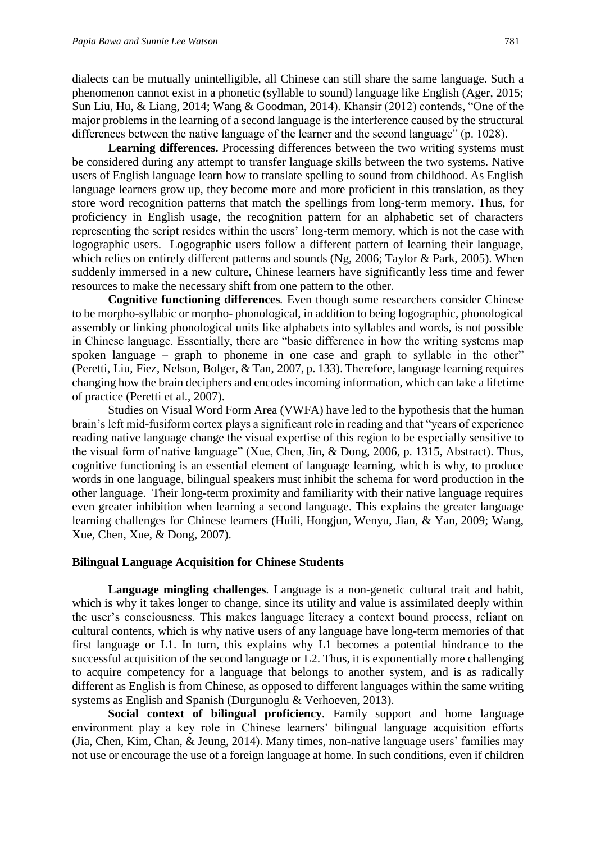dialects can be mutually unintelligible, all Chinese can still share the same language. Such a phenomenon cannot exist in a phonetic (syllable to sound) language like English (Ager, 2015; Sun Liu, Hu, & Liang, 2014; Wang & Goodman, 2014). Khansir (2012) contends, "One of the major problems in the learning of a second language is the interference caused by the structural differences between the native language of the learner and the second language" (p. 1028).

Learning differences. Processing differences between the two writing systems must be considered during any attempt to transfer language skills between the two systems. Native users of English language learn how to translate spelling to sound from childhood. As English language learners grow up, they become more and more proficient in this translation, as they store word recognition patterns that match the spellings from long-term memory. Thus, for proficiency in English usage, the recognition pattern for an alphabetic set of characters representing the script resides within the users' long-term memory, which is not the case with logographic users. Logographic users follow a different pattern of learning their language, which relies on entirely different patterns and sounds (Ng, 2006; Taylor & Park, 2005). When suddenly immersed in a new culture, Chinese learners have significantly less time and fewer resources to make the necessary shift from one pattern to the other.

**Cognitive functioning differences***.* Even though some researchers consider Chinese to be morpho-syllabic or morpho- phonological, in addition to being logographic, phonological assembly or linking phonological units like alphabets into syllables and words, is not possible in Chinese language. Essentially, there are "basic difference in how the writing systems map spoken language – graph to phoneme in one case and graph to syllable in the other" (Peretti, Liu, Fiez, Nelson, Bolger, & Tan, 2007, p. 133). Therefore, language learning requires changing how the brain deciphers and encodes incoming information, which can take a lifetime of practice (Peretti et al., 2007).

Studies on Visual Word Form Area (VWFA) have led to the hypothesis that the human brain's left mid-fusiform cortex plays a significant role in reading and that "years of experience reading native language change the visual expertise of this region to be especially sensitive to the visual form of native language" (Xue, Chen, Jin, & Dong, 2006, p. 1315, Abstract). Thus, cognitive functioning is an essential element of language learning, which is why, to produce words in one language, bilingual speakers must inhibit the schema for word production in the other language. Their long-term proximity and familiarity with their native language requires even greater inhibition when learning a second language. This explains the greater language learning challenges for Chinese learners (Huili, Hongjun, Wenyu, Jian, & Yan, 2009; Wang, Xue, Chen, Xue, & Dong, 2007).

#### **Bilingual Language Acquisition for Chinese Students**

**Language mingling challenges***.* Language is a non-genetic cultural trait and habit, which is why it takes longer to change, since its utility and value is assimilated deeply within the user's consciousness. This makes language literacy a context bound process, reliant on cultural contents, which is why native users of any language have long-term memories of that first language or L1. In turn, this explains why L1 becomes a potential hindrance to the successful acquisition of the second language or L2. Thus, it is exponentially more challenging to acquire competency for a language that belongs to another system, and is as radically different as English is from Chinese, as opposed to different languages within the same writing systems as English and Spanish (Durgunoglu & Verhoeven, 2013).

**Social context of bilingual proficiency***.* Family support and home language environment play a key role in Chinese learners' bilingual language acquisition efforts (Jia, Chen, Kim, Chan, & Jeung, 2014). Many times, non-native language users' families may not use or encourage the use of a foreign language at home. In such conditions, even if children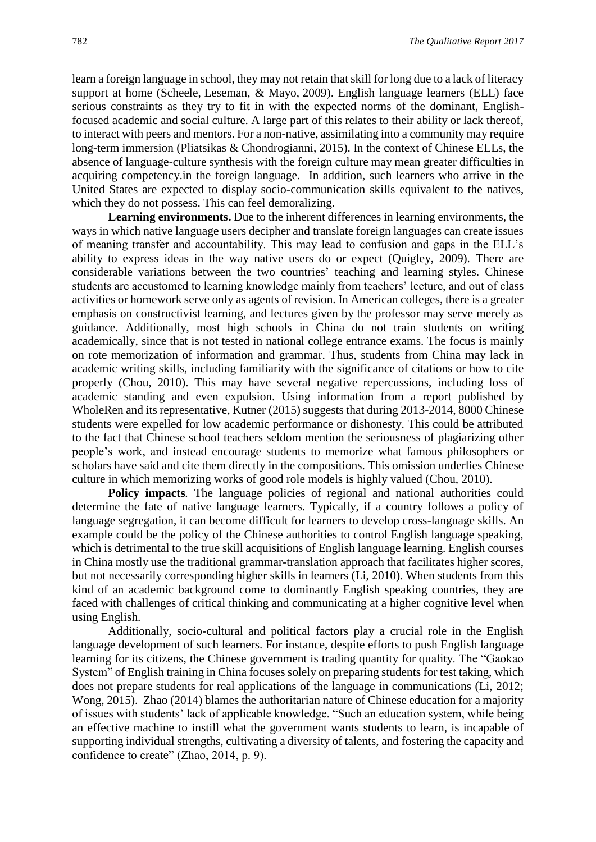learn a foreign language in school, they may not retain that skill for long due to a lack of literacy support at home (Scheele, Leseman, & Mayo, 2009). English language learners (ELL) face serious constraints as they try to fit in with the expected norms of the dominant, Englishfocused academic and social culture. A large part of this relates to their ability or lack thereof, to interact with peers and mentors. For a non-native, assimilating into a community may require long-term immersion (Pliatsikas & Chondrogianni, 2015). In the context of Chinese ELLs, the absence of language-culture synthesis with the foreign culture may mean greater difficulties in acquiring competency.in the foreign language. In addition, such learners who arrive in the United States are expected to display socio-communication skills equivalent to the natives, which they do not possess. This can feel demoralizing.

**Learning environments.** Due to the inherent differences in learning environments, the ways in which native language users decipher and translate foreign languages can create issues of meaning transfer and accountability. This may lead to confusion and gaps in the ELL's ability to express ideas in the way native users do or expect (Quigley, 2009). There are considerable variations between the two countries' teaching and learning styles. Chinese students are accustomed to learning knowledge mainly from teachers' lecture, and out of class activities or homework serve only as agents of revision. In American colleges, there is a greater emphasis on constructivist learning, and lectures given by the professor may serve merely as guidance. Additionally, most high schools in China do not train students on writing academically, since that is not tested in national college entrance exams. The focus is mainly on rote memorization of information and grammar. Thus, students from China may lack in academic writing skills, including familiarity with the significance of citations or how to cite properly (Chou, 2010). This may have several negative repercussions, including loss of academic standing and even expulsion. Using information from a report published by WholeRen and its representative, Kutner (2015) suggests that during 2013-2014, 8000 Chinese students were expelled for low academic performance or dishonesty. This could be attributed to the fact that Chinese school teachers seldom mention the seriousness of plagiarizing other people's work, and instead encourage students to memorize what famous philosophers or scholars have said and cite them directly in the compositions. This omission underlies Chinese culture in which memorizing works of good role models is highly valued (Chou, 2010).

**Policy impacts***.* The language policies of regional and national authorities could determine the fate of native language learners. Typically, if a country follows a policy of language segregation, it can become difficult for learners to develop cross-language skills. An example could be the policy of the Chinese authorities to control English language speaking, which is detrimental to the true skill acquisitions of English language learning. English courses in China mostly use the traditional grammar-translation approach that facilitates higher scores, but not necessarily corresponding higher skills in learners (Li, 2010). When students from this kind of an academic background come to dominantly English speaking countries, they are faced with challenges of critical thinking and communicating at a higher cognitive level when using English.

Additionally, socio-cultural and political factors play a crucial role in the English language development of such learners. For instance, despite efforts to push English language learning for its citizens, the Chinese government is trading quantity for quality. The "Gaokao System" of English training in China focuses solely on preparing students for test taking, which does not prepare students for real applications of the language in communications (Li, 2012; Wong, 2015). Zhao (2014) blames the authoritarian nature of Chinese education for a majority of issues with students' lack of applicable knowledge. "Such an education system, while being an effective machine to instill what the government wants students to learn, is incapable of supporting individual strengths, cultivating a diversity of talents, and fostering the capacity and confidence to create" (Zhao, 2014, p. 9).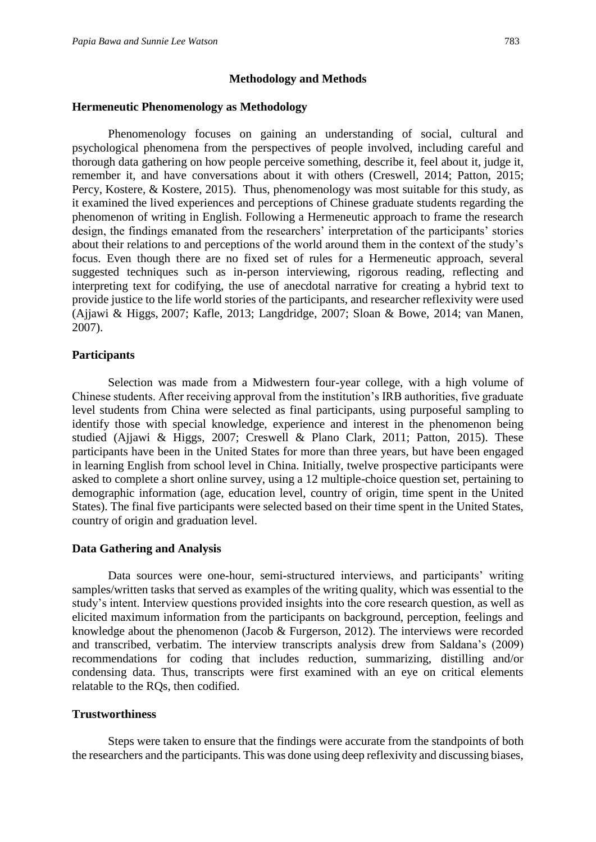#### **Methodology and Methods**

#### **Hermeneutic Phenomenology as Methodology**

Phenomenology focuses on gaining an understanding of social, cultural and psychological phenomena from the perspectives of people involved, including careful and thorough data gathering on how people perceive something, describe it, feel about it, judge it, remember it, and have conversations about it with others (Creswell, 2014; Patton, 2015; Percy, Kostere, & Kostere, 2015). Thus, phenomenology was most suitable for this study, as it examined the lived experiences and perceptions of Chinese graduate students regarding the phenomenon of writing in English. Following a Hermeneutic approach to frame the research design, the findings emanated from the researchers' interpretation of the participants' stories about their relations to and perceptions of the world around them in the context of the study's focus. Even though there are no fixed set of rules for a Hermeneutic approach, several suggested techniques such as in-person interviewing, rigorous reading, reflecting and interpreting text for codifying, the use of anecdotal narrative for creating a hybrid text to provide justice to the life world stories of the participants, and researcher reflexivity were used (Ajjawi & Higgs, 2007; Kafle, 2013; Langdridge, 2007; Sloan & Bowe, 2014; van Manen, 2007).

#### **Participants**

Selection was made from a Midwestern four-year college, with a high volume of Chinese students. After receiving approval from the institution's IRB authorities, five graduate level students from China were selected as final participants, using purposeful sampling to identify those with special knowledge, experience and interest in the phenomenon being studied (Ajjawi & Higgs, 2007; Creswell & Plano Clark, 2011; Patton, 2015). These participants have been in the United States for more than three years, but have been engaged in learning English from school level in China. Initially, twelve prospective participants were asked to complete a short online survey, using a 12 multiple-choice question set, pertaining to demographic information (age, education level, country of origin, time spent in the United States). The final five participants were selected based on their time spent in the United States, country of origin and graduation level.

#### **Data Gathering and Analysis**

Data sources were one-hour, semi-structured interviews, and participants' writing samples/written tasks that served as examples of the writing quality, which was essential to the study's intent. Interview questions provided insights into the core research question, as well as elicited maximum information from the participants on background, perception, feelings and knowledge about the phenomenon (Jacob & Furgerson, 2012). The interviews were recorded and transcribed, verbatim. The interview transcripts analysis drew from Saldana's (2009) recommendations for coding that includes reduction, summarizing, distilling and/or condensing data. Thus, transcripts were first examined with an eye on critical elements relatable to the RQs, then codified.

#### **Trustworthiness**

Steps were taken to ensure that the findings were accurate from the standpoints of both the researchers and the participants. This was done using deep reflexivity and discussing biases,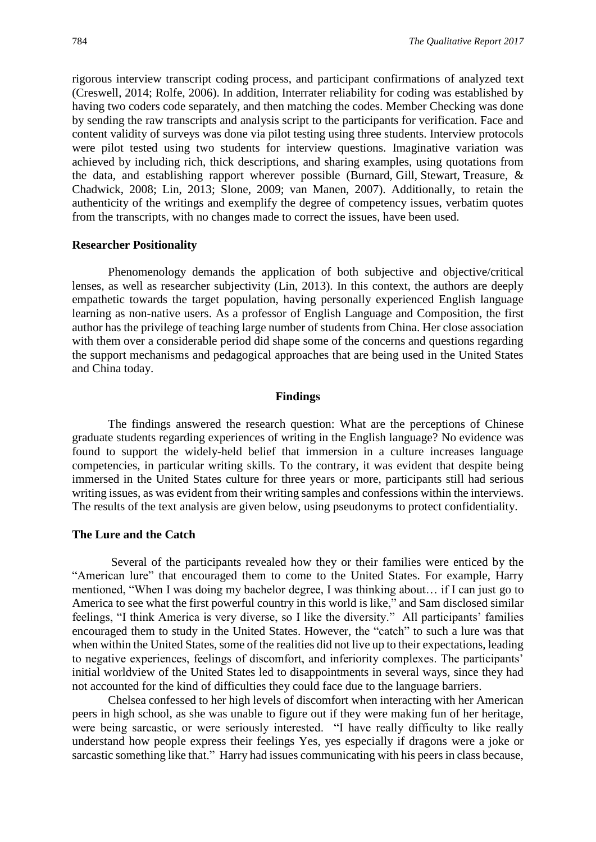rigorous interview transcript coding process, and participant confirmations of analyzed text (Creswell, 2014; Rolfe, 2006). In addition, Interrater reliability for coding was established by having two coders code separately, and then matching the codes. Member Checking was done by sending the raw transcripts and analysis script to the participants for verification. Face and content validity of surveys was done via pilot testing using three students. Interview protocols were pilot tested using two students for interview questions. Imaginative variation was achieved by including rich, thick descriptions, and sharing examples, using quotations from the data, and establishing rapport wherever possible (Burnard, Gill, Stewart, Treasure, & Chadwick, 2008; Lin, 2013; Slone, 2009; van Manen, 2007). Additionally, to retain the authenticity of the writings and exemplify the degree of competency issues, verbatim quotes from the transcripts, with no changes made to correct the issues, have been used.

#### **Researcher Positionality**

Phenomenology demands the application of both subjective and objective/critical lenses, as well as researcher subjectivity (Lin, 2013). In this context, the authors are deeply empathetic towards the target population, having personally experienced English language learning as non-native users. As a professor of English Language and Composition, the first author has the privilege of teaching large number of students from China. Her close association with them over a considerable period did shape some of the concerns and questions regarding the support mechanisms and pedagogical approaches that are being used in the United States and China today.

#### **Findings**

The findings answered the research question: What are the perceptions of Chinese graduate students regarding experiences of writing in the English language? No evidence was found to support the widely-held belief that immersion in a culture increases language competencies, in particular writing skills. To the contrary, it was evident that despite being immersed in the United States culture for three years or more, participants still had serious writing issues, as was evident from their writing samples and confessions within the interviews. The results of the text analysis are given below, using pseudonyms to protect confidentiality.

#### **The Lure and the Catch**

Several of the participants revealed how they or their families were enticed by the "American lure" that encouraged them to come to the United States. For example, Harry mentioned, "When I was doing my bachelor degree, I was thinking about… if I can just go to America to see what the first powerful country in this world is like," and Sam disclosed similar feelings, "I think America is very diverse, so I like the diversity." All participants' families encouraged them to study in the United States. However, the "catch" to such a lure was that when within the United States, some of the realities did not live up to their expectations, leading to negative experiences, feelings of discomfort, and inferiority complexes. The participants' initial worldview of the United States led to disappointments in several ways, since they had not accounted for the kind of difficulties they could face due to the language barriers.

Chelsea confessed to her high levels of discomfort when interacting with her American peers in high school, as she was unable to figure out if they were making fun of her heritage, were being sarcastic, or were seriously interested. "I have really difficulty to like really understand how people express their feelings Yes, yes especially if dragons were a joke or sarcastic something like that." Harry had issues communicating with his peers in class because,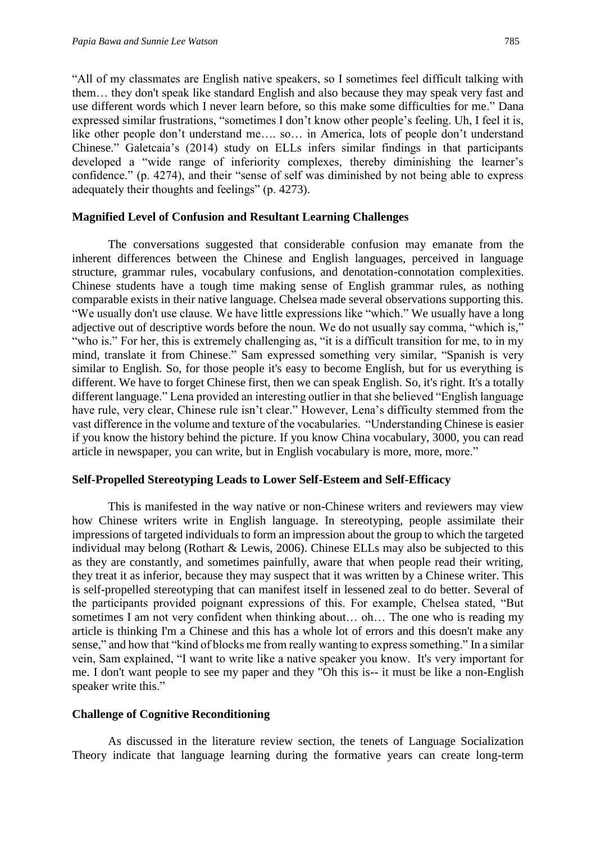"All of my classmates are English native speakers, so I sometimes feel difficult talking with them… they don't speak like standard English and also because they may speak very fast and use different words which I never learn before, so this make some difficulties for me." Dana expressed similar frustrations, "sometimes I don't know other people's feeling. Uh, I feel it is, like other people don't understand me…. so… in America, lots of people don't understand Chinese." Galetcaia's (2014) study on ELLs infers similar findings in that participants developed a "wide range of inferiority complexes, thereby diminishing the learner's confidence." (p. 4274), and their "sense of self was diminished by not being able to express adequately their thoughts and feelings" (p. 4273).

#### **Magnified Level of Confusion and Resultant Learning Challenges**

 The conversations suggested that considerable confusion may emanate from the inherent differences between the Chinese and English languages, perceived in language structure, grammar rules, vocabulary confusions, and denotation-connotation complexities. Chinese students have a tough time making sense of English grammar rules, as nothing comparable exists in their native language. Chelsea made several observations supporting this. "We usually don't use clause. We have little expressions like "which." We usually have a long adjective out of descriptive words before the noun. We do not usually say comma, "which is," "who is." For her, this is extremely challenging as, "it is a difficult transition for me, to in my mind, translate it from Chinese." Sam expressed something very similar, "Spanish is very similar to English. So, for those people it's easy to become English, but for us everything is different. We have to forget Chinese first, then we can speak English. So, it's right. It's a totally different language." Lena provided an interesting outlier in that she believed "English language have rule, very clear, Chinese rule isn't clear." However, Lena's difficulty stemmed from the vast difference in the volume and texture of the vocabularies. "Understanding Chinese is easier if you know the history behind the picture. If you know China vocabulary, 3000, you can read article in newspaper, you can write, but in English vocabulary is more, more, more."

#### **Self-Propelled Stereotyping Leads to Lower Self-Esteem and Self-Efficacy**

This is manifested in the way native or non-Chinese writers and reviewers may view how Chinese writers write in English language. In stereotyping, people assimilate their impressions of targeted individuals to form an impression about the group to which the targeted individual may belong (Rothart & Lewis, 2006). Chinese ELLs may also be subjected to this as they are constantly, and sometimes painfully, aware that when people read their writing, they treat it as inferior, because they may suspect that it was written by a Chinese writer. This is self-propelled stereotyping that can manifest itself in lessened zeal to do better. Several of the participants provided poignant expressions of this. For example, Chelsea stated, "But sometimes I am not very confident when thinking about… oh… The one who is reading my article is thinking I'm a Chinese and this has a whole lot of errors and this doesn't make any sense," and how that "kind of blocks me from really wanting to express something." In a similar vein, Sam explained, "I want to write like a native speaker you know. It's very important for me. I don't want people to see my paper and they "Oh this is-- it must be like a non-English speaker write this."

#### **Challenge of Cognitive Reconditioning**

As discussed in the literature review section, the tenets of Language Socialization Theory indicate that language learning during the formative years can create long-term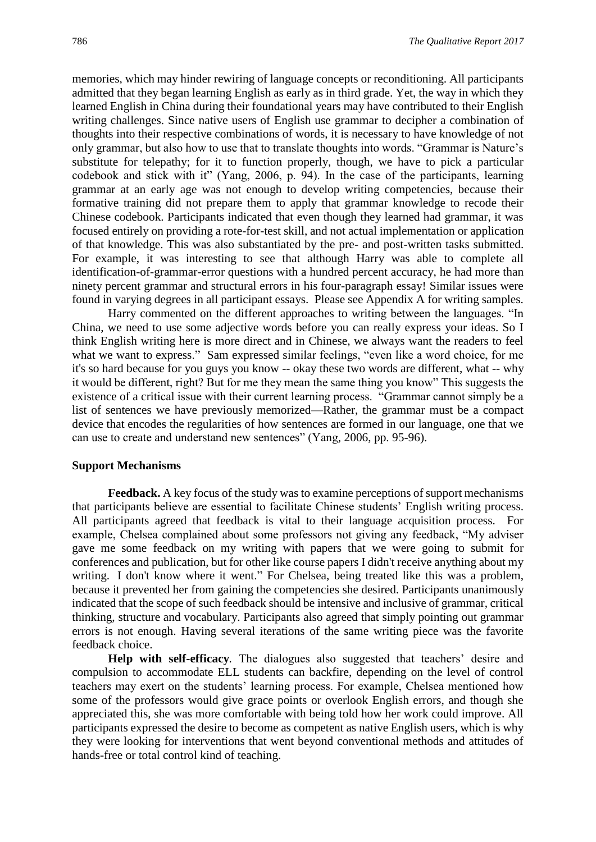memories, which may hinder rewiring of language concepts or reconditioning. All participants admitted that they began learning English as early as in third grade. Yet, the way in which they learned English in China during their foundational years may have contributed to their English writing challenges. Since native users of English use grammar to decipher a combination of thoughts into their respective combinations of words, it is necessary to have knowledge of not only grammar, but also how to use that to translate thoughts into words. "Grammar is Nature's substitute for telepathy; for it to function properly, though, we have to pick a particular codebook and stick with it" (Yang, 2006, p. 94). In the case of the participants, learning grammar at an early age was not enough to develop writing competencies, because their formative training did not prepare them to apply that grammar knowledge to recode their Chinese codebook. Participants indicated that even though they learned had grammar, it was focused entirely on providing a rote-for-test skill, and not actual implementation or application of that knowledge. This was also substantiated by the pre- and post-written tasks submitted. For example, it was interesting to see that although Harry was able to complete all identification-of-grammar-error questions with a hundred percent accuracy, he had more than ninety percent grammar and structural errors in his four-paragraph essay! Similar issues were found in varying degrees in all participant essays. Please see Appendix A for writing samples.

Harry commented on the different approaches to writing between the languages. "In China, we need to use some adjective words before you can really express your ideas. So I think English writing here is more direct and in Chinese, we always want the readers to feel what we want to express." Sam expressed similar feelings, "even like a word choice, for me it's so hard because for you guys you know -- okay these two words are different, what -- why it would be different, right? But for me they mean the same thing you know" This suggests the existence of a critical issue with their current learning process. "Grammar cannot simply be a list of sentences we have previously memorized—Rather, the grammar must be a compact device that encodes the regularities of how sentences are formed in our language, one that we can use to create and understand new sentences" (Yang, 2006, pp. 95-96).

#### **Support Mechanisms**

**Feedback.** A key focus of the study was to examine perceptions of support mechanisms that participants believe are essential to facilitate Chinese students' English writing process. All participants agreed that feedback is vital to their language acquisition process. For example, Chelsea complained about some professors not giving any feedback, "My adviser gave me some feedback on my writing with papers that we were going to submit for conferences and publication, but for other like course papers I didn't receive anything about my writing. I don't know where it went." For Chelsea, being treated like this was a problem, because it prevented her from gaining the competencies she desired. Participants unanimously indicated that the scope of such feedback should be intensive and inclusive of grammar, critical thinking, structure and vocabulary. Participants also agreed that simply pointing out grammar errors is not enough. Having several iterations of the same writing piece was the favorite feedback choice.

**Help with self-efficacy***.* The dialogues also suggested that teachers' desire and compulsion to accommodate ELL students can backfire, depending on the level of control teachers may exert on the students' learning process. For example, Chelsea mentioned how some of the professors would give grace points or overlook English errors, and though she appreciated this, she was more comfortable with being told how her work could improve. All participants expressed the desire to become as competent as native English users, which is why they were looking for interventions that went beyond conventional methods and attitudes of hands-free or total control kind of teaching.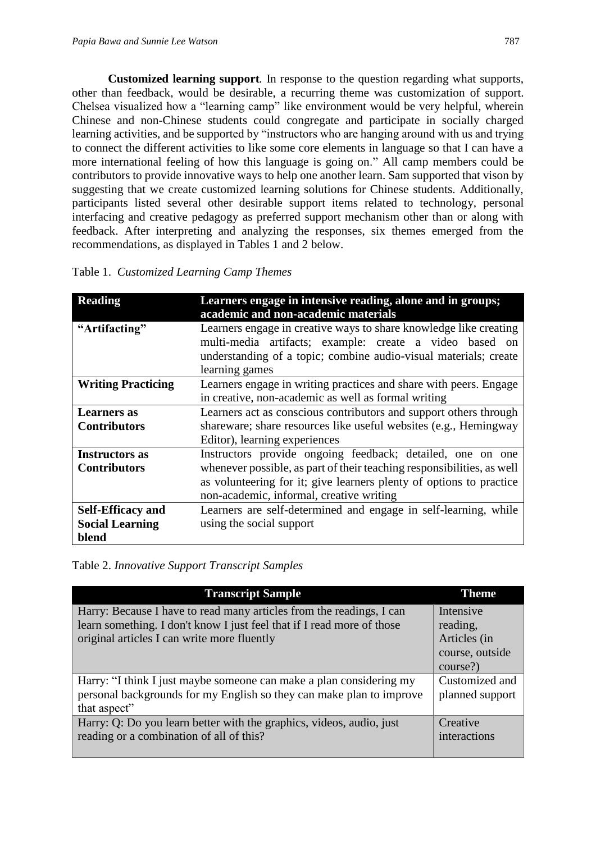**Customized learning support***.* In response to the question regarding what supports, other than feedback, would be desirable, a recurring theme was customization of support. Chelsea visualized how a "learning camp" like environment would be very helpful, wherein Chinese and non-Chinese students could congregate and participate in socially charged learning activities, and be supported by "instructors who are hanging around with us and trying to connect the different activities to like some core elements in language so that I can have a more international feeling of how this language is going on." All camp members could be contributors to provide innovative ways to help one another learn. Sam supported that vison by suggesting that we create customized learning solutions for Chinese students. Additionally, participants listed several other desirable support items related to technology, personal interfacing and creative pedagogy as preferred support mechanism other than or along with feedback. After interpreting and analyzing the responses, six themes emerged from the recommendations, as displayed in Tables 1 and 2 below.

| <b>Reading</b>            | Learners engage in intensive reading, alone and in groups;<br>academic and non-academic materials                                                                                                                     |
|---------------------------|-----------------------------------------------------------------------------------------------------------------------------------------------------------------------------------------------------------------------|
| "Artifacting"             | Learners engage in creative ways to share knowledge like creating<br>multi-media artifacts; example: create a video based<br>on<br>understanding of a topic; combine audio-visual materials; create<br>learning games |
| <b>Writing Practicing</b> | Learners engage in writing practices and share with peers. Engage<br>in creative, non-academic as well as formal writing                                                                                              |
| Learners as               | Learners act as conscious contributors and support others through                                                                                                                                                     |
| <b>Contributors</b>       | shareware; share resources like useful websites (e.g., Hemingway                                                                                                                                                      |
|                           | Editor), learning experiences                                                                                                                                                                                         |
| <b>Instructors as</b>     | Instructors provide ongoing feedback; detailed, one on one                                                                                                                                                            |
| <b>Contributors</b>       | whenever possible, as part of their teaching responsibilities, as well                                                                                                                                                |
|                           | as volunteering for it; give learners plenty of options to practice                                                                                                                                                   |
|                           | non-academic, informal, creative writing                                                                                                                                                                              |
| <b>Self-Efficacy and</b>  | Learners are self-determined and engage in self-learning, while                                                                                                                                                       |
| <b>Social Learning</b>    | using the social support                                                                                                                                                                                              |
| blend                     |                                                                                                                                                                                                                       |

Table 1.*Customized Learning Camp Themes*

Table 2. *Innovative Support Transcript Samples*

| <b>Transcript Sample</b>                                               | <b>Theme</b>    |
|------------------------------------------------------------------------|-----------------|
| Harry: Because I have to read many articles from the readings, I can   | Intensive       |
| learn something. I don't know I just feel that if I read more of those | reading,        |
| original articles I can write more fluently                            | Articles (in    |
|                                                                        | course, outside |
|                                                                        | course?)        |
| Harry: "I think I just maybe someone can make a plan considering my    | Customized and  |
| personal backgrounds for my English so they can make plan to improve   | planned support |
| that aspect"                                                           |                 |
| Harry: Q: Do you learn better with the graphics, videos, audio, just   | Creative        |
| reading or a combination of all of this?                               | interactions    |
|                                                                        |                 |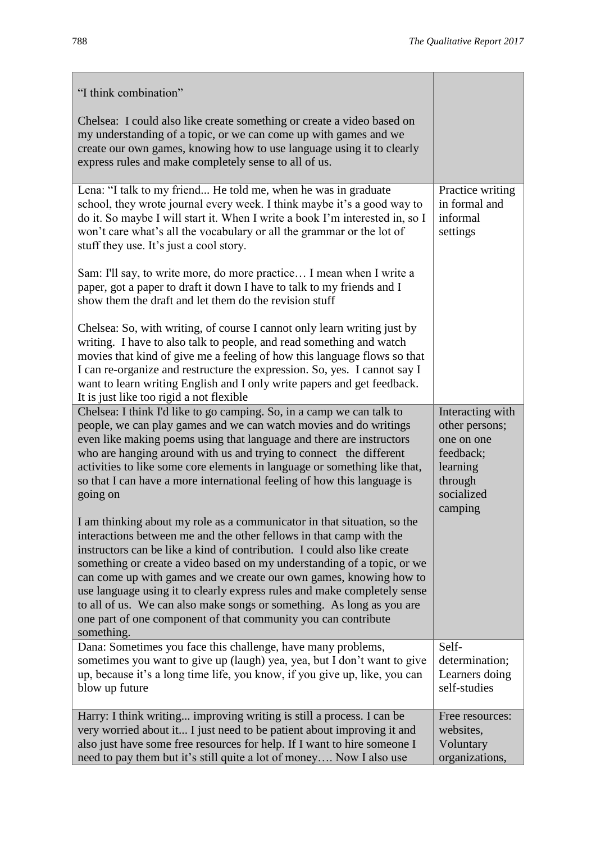| "I think combination"                                                                                                                                                                                                                                                                                                                                                                                                                                                                                                                                                                                            |                                                                                                               |
|------------------------------------------------------------------------------------------------------------------------------------------------------------------------------------------------------------------------------------------------------------------------------------------------------------------------------------------------------------------------------------------------------------------------------------------------------------------------------------------------------------------------------------------------------------------------------------------------------------------|---------------------------------------------------------------------------------------------------------------|
| Chelsea: I could also like create something or create a video based on<br>my understanding of a topic, or we can come up with games and we<br>create our own games, knowing how to use language using it to clearly<br>express rules and make completely sense to all of us.                                                                                                                                                                                                                                                                                                                                     |                                                                                                               |
| Lena: "I talk to my friend He told me, when he was in graduate<br>school, they wrote journal every week. I think maybe it's a good way to<br>do it. So maybe I will start it. When I write a book I'm interested in, so I<br>won't care what's all the vocabulary or all the grammar or the lot of<br>stuff they use. It's just a cool story.                                                                                                                                                                                                                                                                    | Practice writing<br>in formal and<br>informal<br>settings                                                     |
| Sam: I'll say, to write more, do more practice I mean when I write a<br>paper, got a paper to draft it down I have to talk to my friends and I<br>show them the draft and let them do the revision stuff                                                                                                                                                                                                                                                                                                                                                                                                         |                                                                                                               |
| Chelsea: So, with writing, of course I cannot only learn writing just by<br>writing. I have to also talk to people, and read something and watch<br>movies that kind of give me a feeling of how this language flows so that<br>I can re-organize and restructure the expression. So, yes. I cannot say I<br>want to learn writing English and I only write papers and get feedback.<br>It is just like too rigid a not flexible                                                                                                                                                                                 |                                                                                                               |
| Chelsea: I think I'd like to go camping. So, in a camp we can talk to<br>people, we can play games and we can watch movies and do writings<br>even like making poems using that language and there are instructors<br>who are hanging around with us and trying to connect the different<br>activities to like some core elements in language or something like that,<br>so that I can have a more international feeling of how this language is<br>going on                                                                                                                                                     | Interacting with<br>other persons;<br>one on one<br>feedback;<br>learning<br>through<br>socialized<br>camping |
| I am thinking about my role as a communicator in that situation, so the<br>interactions between me and the other fellows in that camp with the<br>instructors can be like a kind of contribution. I could also like create<br>something or create a video based on my understanding of a topic, or we<br>can come up with games and we create our own games, knowing how to<br>use language using it to clearly express rules and make completely sense<br>to all of us. We can also make songs or something. As long as you are<br>one part of one component of that community you can contribute<br>something. |                                                                                                               |
| Dana: Sometimes you face this challenge, have many problems,<br>sometimes you want to give up (laugh) yea, yea, but I don't want to give<br>up, because it's a long time life, you know, if you give up, like, you can<br>blow up future                                                                                                                                                                                                                                                                                                                                                                         | Self-<br>determination;<br>Learners doing<br>self-studies                                                     |
| Harry: I think writing improving writing is still a process. I can be<br>very worried about it I just need to be patient about improving it and<br>also just have some free resources for help. If I want to hire someone I<br>need to pay them but it's still quite a lot of money Now I also use                                                                                                                                                                                                                                                                                                               | Free resources:<br>websites,<br>Voluntary<br>organizations,                                                   |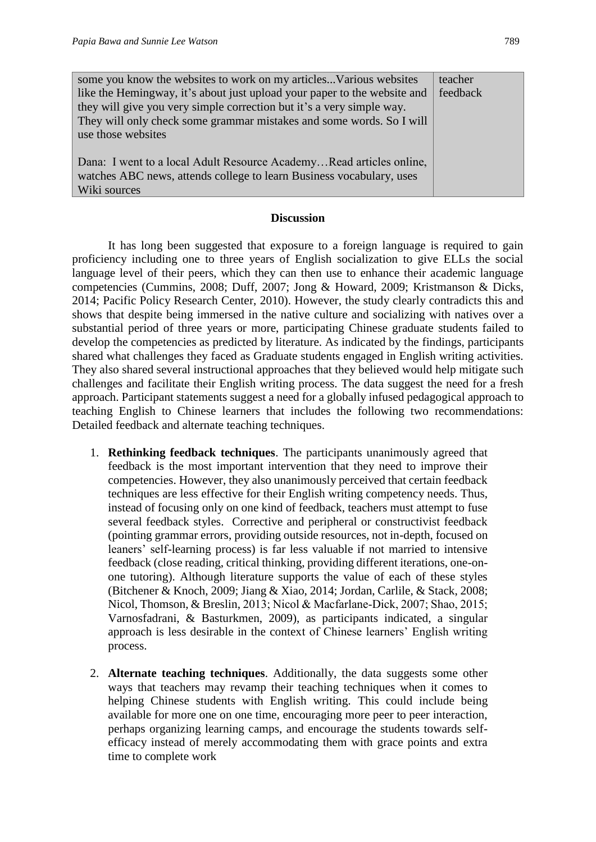| some you know the websites to work on my articles Various websites       | teacher  |  |
|--------------------------------------------------------------------------|----------|--|
| like the Hemingway, it's about just upload your paper to the website and | feedback |  |
| they will give you very simple correction but it's a very simple way.    |          |  |
| They will only check some grammar mistakes and some words. So I will     |          |  |
| use those websites                                                       |          |  |
|                                                                          |          |  |
| Dana: I went to a local Adult Resource AcademyRead articles online,      |          |  |
| watches ABC news, attends college to learn Business vocabulary, uses     |          |  |
| Wiki sources                                                             |          |  |

#### **Discussion**

It has long been suggested that exposure to a foreign language is required to gain proficiency including one to three years of English socialization to give ELLs the social language level of their peers, which they can then use to enhance their academic language competencies (Cummins, 2008; Duff, 2007; Jong & Howard, 2009; Kristmanson & Dicks, 2014; Pacific Policy Research Center, 2010). However, the study clearly contradicts this and shows that despite being immersed in the native culture and socializing with natives over a substantial period of three years or more, participating Chinese graduate students failed to develop the competencies as predicted by literature. As indicated by the findings, participants shared what challenges they faced as Graduate students engaged in English writing activities. They also shared several instructional approaches that they believed would help mitigate such challenges and facilitate their English writing process. The data suggest the need for a fresh approach. Participant statements suggest a need for a globally infused pedagogical approach to teaching English to Chinese learners that includes the following two recommendations: Detailed feedback and alternate teaching techniques.

- 1. **Rethinking feedback techniques**. The participants unanimously agreed that feedback is the most important intervention that they need to improve their competencies. However, they also unanimously perceived that certain feedback techniques are less effective for their English writing competency needs. Thus, instead of focusing only on one kind of feedback, teachers must attempt to fuse several feedback styles. Corrective and peripheral or constructivist feedback (pointing grammar errors, providing outside resources, not in-depth, focused on leaners' self-learning process) is far less valuable if not married to intensive feedback (close reading, critical thinking, providing different iterations, one-onone tutoring). Although literature supports the value of each of these styles (Bitchener & Knoch, 2009; Jiang & Xiao, 2014; Jordan, Carlile, & Stack, 2008; Nicol, Thomson, & Breslin, 2013; Nicol & Macfarlane‐Dick, 2007; Shao, 2015; Varnosfadrani, & Basturkmen, 2009), as participants indicated, a singular approach is less desirable in the context of Chinese learners' English writing process.
- 2. **Alternate teaching techniques**. Additionally, the data suggests some other ways that teachers may revamp their teaching techniques when it comes to helping Chinese students with English writing. This could include being available for more one on one time, encouraging more peer to peer interaction, perhaps organizing learning camps, and encourage the students towards selfefficacy instead of merely accommodating them with grace points and extra time to complete work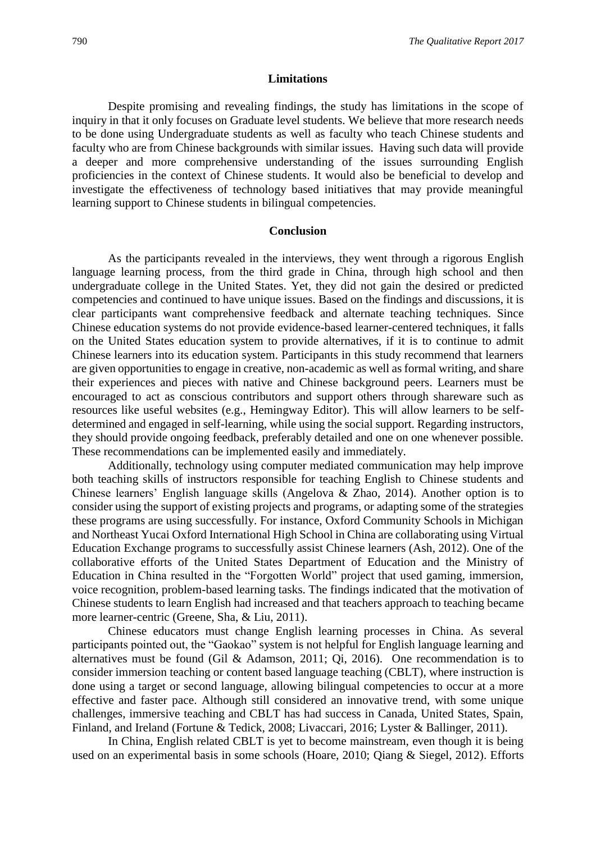#### **Limitations**

Despite promising and revealing findings, the study has limitations in the scope of inquiry in that it only focuses on Graduate level students. We believe that more research needs to be done using Undergraduate students as well as faculty who teach Chinese students and faculty who are from Chinese backgrounds with similar issues. Having such data will provide a deeper and more comprehensive understanding of the issues surrounding English proficiencies in the context of Chinese students. It would also be beneficial to develop and investigate the effectiveness of technology based initiatives that may provide meaningful learning support to Chinese students in bilingual competencies.

#### **Conclusion**

As the participants revealed in the interviews, they went through a rigorous English language learning process, from the third grade in China, through high school and then undergraduate college in the United States. Yet, they did not gain the desired or predicted competencies and continued to have unique issues. Based on the findings and discussions, it is clear participants want comprehensive feedback and alternate teaching techniques. Since Chinese education systems do not provide evidence-based learner-centered techniques, it falls on the United States education system to provide alternatives, if it is to continue to admit Chinese learners into its education system. Participants in this study recommend that learners are given opportunities to engage in creative, non-academic as well as formal writing, and share their experiences and pieces with native and Chinese background peers. Learners must be encouraged to act as conscious contributors and support others through shareware such as resources like useful websites (e.g., Hemingway Editor). This will allow learners to be selfdetermined and engaged in self-learning, while using the social support. Regarding instructors, they should provide ongoing feedback, preferably detailed and one on one whenever possible. These recommendations can be implemented easily and immediately.

Additionally, technology using computer mediated communication may help improve both teaching skills of instructors responsible for teaching English to Chinese students and Chinese learners' English language skills (Angelova & Zhao, 2014). Another option is to consider using the support of existing projects and programs, or adapting some of the strategies these programs are using successfully. For instance, Oxford Community Schools in Michigan and Northeast Yucai Oxford International High School in China are collaborating using Virtual Education Exchange programs to successfully assist Chinese learners (Ash, 2012). One of the collaborative efforts of the United States Department of Education and the Ministry of Education in China resulted in the "Forgotten World" project that used gaming, immersion, voice recognition, problem-based learning tasks. The findings indicated that the motivation of Chinese students to learn English had increased and that teachers approach to teaching became more learner-centric (Greene, Sha, & Liu, 2011).

Chinese educators must change English learning processes in China. As several participants pointed out, the "Gaokao" system is not helpful for English language learning and alternatives must be found (Gil & Adamson, 2011; Qi, 2016). One recommendation is to consider immersion teaching or content based language teaching (CBLT), where instruction is done using a target or second language, allowing bilingual competencies to occur at a more effective and faster pace. Although still considered an innovative trend, with some unique challenges, immersive teaching and CBLT has had success in Canada, United States, Spain, Finland, and Ireland (Fortune & Tedick, 2008; Livaccari, 2016; Lyster & Ballinger, 2011).

In China, English related CBLT is yet to become mainstream, even though it is being used on an experimental basis in some schools (Hoare, 2010; Qiang & Siegel, 2012). Efforts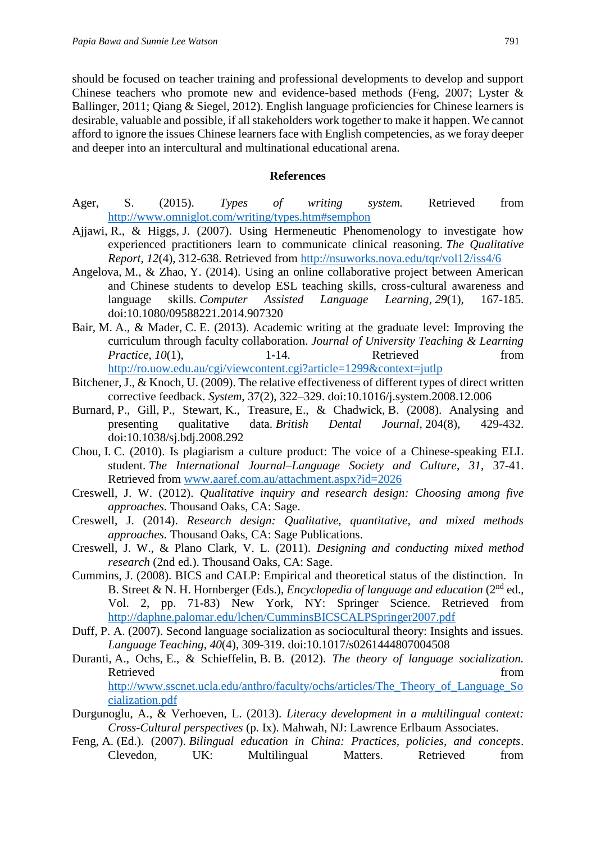should be focused on teacher training and professional developments to develop and support Chinese teachers who promote new and evidence-based methods (Feng, 2007; Lyster & Ballinger, 2011; Qiang & Siegel, 2012). English language proficiencies for Chinese learners is desirable, valuable and possible, if all stakeholders work together to make it happen. We cannot afford to ignore the issues Chinese learners face with English competencies, as we foray deeper and deeper into an intercultural and multinational educational arena.

#### **References**

- Ager, S. (2015). *Types of writing system.* Retrieved from <http://www.omniglot.com/writing/types.htm#semphon>
- Ajjawi, R., & Higgs, J. (2007). Using Hermeneutic Phenomenology to investigate how experienced practitioners learn to communicate clinical reasoning. *The Qualitative Report*, *12*(4), 312-638. Retrieved from<http://nsuworks.nova.edu/tqr/vol12/iss4/6>
- Angelova, M., & Zhao, Y. (2014). Using an online collaborative project between American and Chinese students to develop ESL teaching skills, cross-cultural awareness and language skills. *Computer Assisted Language Learning*, *29*(1), 167-185. doi:10.1080/09588221.2014.907320
- Bair, M. A., & Mader, C. E. (2013). Academic writing at the graduate level: Improving the curriculum through faculty collaboration. *Journal of University Teaching & Learning Practice*, *10*(1), 1-14. Retrieved from <http://ro.uow.edu.au/cgi/viewcontent.cgi?article=1299&context=jutlp>
- Bitchener, J., & Knoch, U. (2009). The relative effectiveness of different types of direct written corrective feedback. *System*, 37(2), 322–329. doi:10.1016/j.system.2008.12.006
- Burnard, P., Gill, P., Stewart, K., Treasure, E., & Chadwick, B. (2008). Analysing and presenting qualitative data. *British Dental Journal*, 204(8), 429-432. doi:10.1038/sj.bdj.2008.292
- Chou, I. C. (2010). Is plagiarism a culture product: The voice of a Chinese-speaking ELL student. *The International Journal–Language Society and Culture*, *31*, 37-41. Retrieved from [www.aaref.com.au/attachment.aspx?id=2026](http://www.aaref.com.au/attachment.aspx?id=2026)
- Creswell, J. W. (2012). *Qualitative inquiry and research design: Choosing among five approaches.* Thousand Oaks, CA: Sage.
- Creswell, J. (2014). *Research design: Qualitative, quantitative, and mixed methods approaches.* Thousand Oaks, CA: Sage Publications.
- Creswell, J. W., & Plano Clark, V. L. (2011). *Designing and conducting mixed method research* (2nd ed.). Thousand Oaks, CA: Sage.
- Cummins, J. (2008). BICS and CALP: Empirical and theoretical status of the distinction. In B. Street & N. H. Hornberger (Eds.), *Encyclopedia of language and education* (2nd ed., Vol. 2, pp. 71-83) New York, NY: Springer Science. Retrieved from <http://daphne.palomar.edu/lchen/CumminsBICSCALPSpringer2007.pdf>
- Duff, P. A. (2007). Second language socialization as sociocultural theory: Insights and issues. *Language Teaching*, *40*(4), 309-319. doi:10.1017/s0261444807004508
- Duranti, A., Ochs, E., & Schieffelin, B. B. (2012). *The theory of language socialization.* Retrieved from the state of the state of the state of the state of the state of the state of the state of the state of the state of the state of the state of the state of the state of the state of the state of the state of [http://www.sscnet.ucla.edu/anthro/faculty/ochs/articles/The\\_Theory\\_of\\_Language\\_So](http://www.sscnet.ucla.edu/anthro/faculty/ochs/articles/The_Theory_of_Language_Socialization.pdf) [cialization.pdf](http://www.sscnet.ucla.edu/anthro/faculty/ochs/articles/The_Theory_of_Language_Socialization.pdf)
- Durgunoglu, A., & Verhoeven, L. (2013). *Literacy development in a multilingual context: Cross-Cultural perspectives* (p. Ix). Mahwah, NJ: Lawrence Erlbaum Associates.
- Feng, A. (Ed.). (2007). *Bilingual education in China: Practices, policies, and concepts*. Clevedon, UK: Multilingual Matters. Retrieved from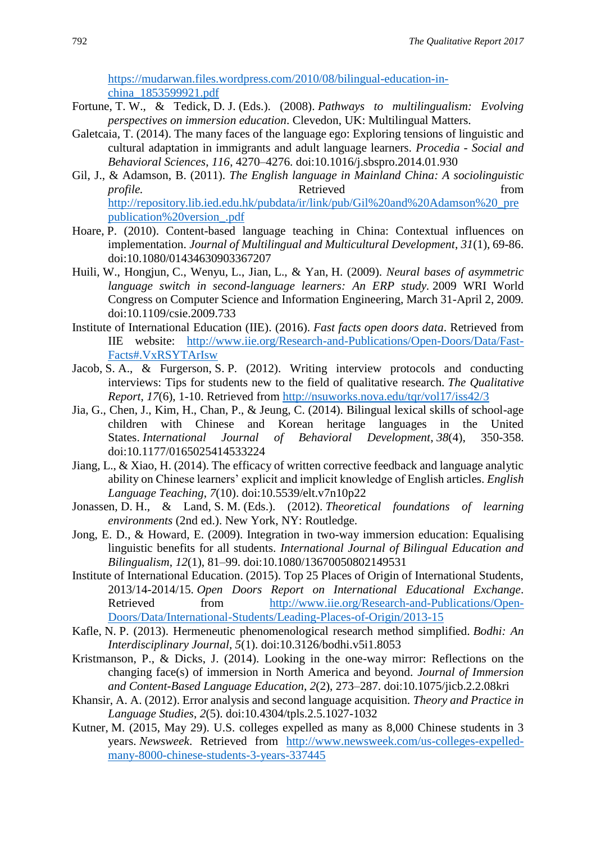[https://mudarwan.files.wordpress.com/2010/08/bilingual-education-in](https://mudarwan.files.wordpress.com/2010/08/bilingual-education-in-china_1853599921.pdf)[china\\_1853599921.pdf](https://mudarwan.files.wordpress.com/2010/08/bilingual-education-in-china_1853599921.pdf)

- Fortune, T. W., & Tedick, D. J. (Eds.). (2008). *Pathways to multilingualism: Evolving perspectives on immersion education*. Clevedon, UK: Multilingual Matters.
- Galetcaia, T. (2014). The many faces of the language ego: Exploring tensions of linguistic and cultural adaptation in immigrants and adult language learners. *Procedia* - *Social and Behavioral Sciences*, *116*, 4270–4276. doi:10.1016/j.sbspro.2014.01.930
- Gil, J., & Adamson, B. (2011). *The English language in Mainland China: A sociolinguistic profile.* Retrieved from [http://repository.lib.ied.edu.hk/pubdata/ir/link/pub/Gil%20and%20Adamson%20\\_pre](http://repository.lib.ied.edu.hk/pubdata/ir/link/pub/Gil%20and%20Adamson%20_prepublication%20version_.pdf) [publication%20version\\_.pdf](http://repository.lib.ied.edu.hk/pubdata/ir/link/pub/Gil%20and%20Adamson%20_prepublication%20version_.pdf)
- Hoare, P. (2010). Content-based language teaching in China: Contextual influences on implementation. *Journal of Multilingual and Multicultural Development*, *31*(1), 69-86. doi:10.1080/01434630903367207
- Huili, W., Hongjun, C., Wenyu, L., Jian, L., & Yan, H. (2009). *Neural bases of asymmetric language switch in second-language learners: An ERP study.* 2009 WRI World Congress on Computer Science and Information Engineering, March 31-April 2, 2009*.*  doi:10.1109/csie.2009.733
- Institute of International Education (IIE). (2016). *Fast facts open doors data*. Retrieved from IIE website: [http://www.iie.org/Research-and-Publications/Open-Doors/Data/Fast-](http://www.iie.org/Research-and-Publications/Open-Doors/Data/Fast-Facts#.VxRSYTArIsw)[Facts#.VxRSYTArIsw](http://www.iie.org/Research-and-Publications/Open-Doors/Data/Fast-Facts#.VxRSYTArIsw)
- Jacob, S. A., & Furgerson, S. P. (2012). Writing interview protocols and conducting interviews: Tips for students new to the field of qualitative research. *The Qualitative Report*, *17*(6), 1-10. Retrieved from<http://nsuworks.nova.edu/tqr/vol17/iss42/3>
- Jia, G., Chen, J., Kim, H., Chan, P., & Jeung, C. (2014). Bilingual lexical skills of school-age children with Chinese and Korean heritage languages in the United States. *International Journal of Behavioral Development*, *38*(4), 350-358. doi:10.1177/0165025414533224
- Jiang, L., & Xiao, H. (2014). The efficacy of written corrective feedback and language analytic ability on Chinese learners' explicit and implicit knowledge of English articles. *English Language Teaching*, *7*(10). doi:10.5539/elt.v7n10p22
- Jonassen, D. H., & Land, S. M. (Eds.). (2012). *Theoretical foundations of learning environments* (2nd ed.). New York, NY: Routledge.
- Jong, E. D., & Howard, E. (2009). Integration in two-way immersion education: Equalising linguistic benefits for all students. *International Journal of Bilingual Education and Bilingualism*, *12*(1), 81–99. doi:10.1080/13670050802149531
- Institute of International Education. (2015). Top 25 Places of Origin of International Students, 2013/14-2014/15. *Open Doors Report on International Educational Exchange*. Retrieved from [http://www.iie.org/Research-and-Publications/Open-](http://www.iie.org/Research-and-Publications/Open-Doors/Data/International-Students/Leading-Places-of-Origin/2013-15)[Doors/Data/International-Students/Leading-Places-of-Origin/2013-15](http://www.iie.org/Research-and-Publications/Open-Doors/Data/International-Students/Leading-Places-of-Origin/2013-15)
- Kafle, N. P. (2013). Hermeneutic phenomenological research method simplified. *Bodhi: An Interdisciplinary Journal*, *5*(1). doi:10.3126/bodhi.v5i1.8053
- Kristmanson, P., & Dicks, J. (2014). Looking in the one-way mirror: Reflections on the changing face(s) of immersion in North America and beyond. *Journal of Immersion and Content-Based Language Education*, *2*(2), 273–287. doi:10.1075/jicb.2.2.08kri
- Khansir, A. A. (2012). Error analysis and second language acquisition. *Theory and Practice in Language Studies*, *2*(5). doi:10.4304/tpls.2.5.1027-1032
- Kutner, M. (2015, May 29). U.S. colleges expelled as many as 8,000 Chinese students in 3 years. *Newsweek*. Retrieved from [http://www.newsweek.com/us-colleges-expelled](http://www.newsweek.com/us-colleges-expelled-many-8000-chinese-students-3-years-337445)[many-8000-chinese-students-3-years-337445](http://www.newsweek.com/us-colleges-expelled-many-8000-chinese-students-3-years-337445)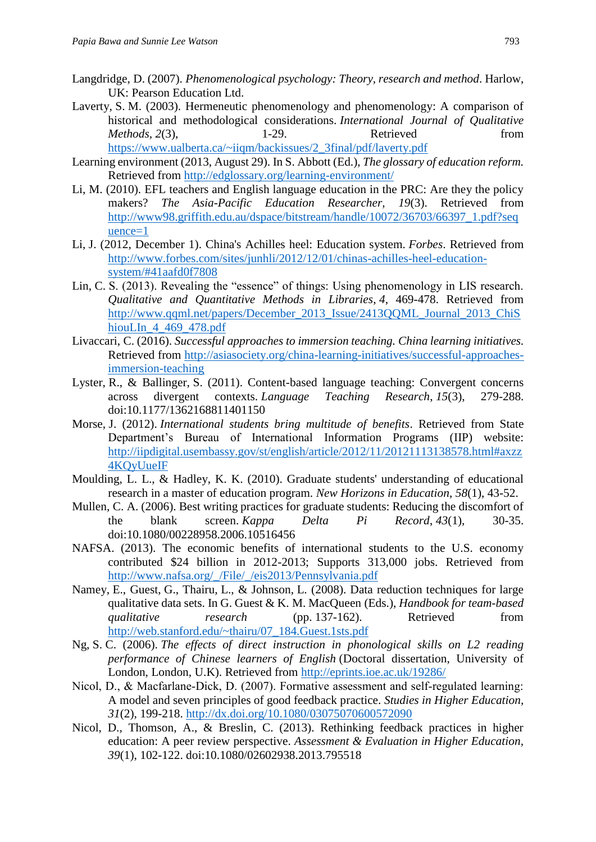- Langdridge, D. (2007). *Phenomenological psychology: Theory, research and method*. Harlow, UK: Pearson Education Ltd.
- Laverty, S. M. (2003). Hermeneutic phenomenology and phenomenology: A comparison of historical and methodological considerations. *International Journal of Qualitative Methods,* 2(3), 1-29. Retrieved from [https://www.ualberta.ca/~iiqm/backissues/2\\_3final/pdf/laverty.pdf](https://www.ualberta.ca/~iiqm/backissues/2_3final/pdf/laverty.pdf)
- Learning environment (2013, August 29). In S. Abbott (Ed.), *The glossary of education reform.* Retrieved from<http://edglossary.org/learning-environment/>
- Li, M. (2010). EFL teachers and English language education in the PRC: Are they the policy makers? *The Asia-Pacific Education Researcher, 19*(3). Retrieved from [http://www98.griffith.edu.au/dspace/bitstream/handle/10072/36703/66397\\_1.pdf?seq](http://www98.griffith.edu.au/dspace/bitstream/handle/10072/36703/66397_1.pdf?sequence=1) [uence=1](http://www98.griffith.edu.au/dspace/bitstream/handle/10072/36703/66397_1.pdf?sequence=1)
- Li, J. (2012, December 1). China's Achilles heel: Education system. *Forbes*. Retrieved from [http://www.forbes.com/sites/junhli/2012/12/01/chinas-achilles-heel-education](http://www.forbes.com/sites/junhli/2012/12/01/chinas-achilles-heel-education-system/#41aafd0f7808)[system/#41aafd0f7808](http://www.forbes.com/sites/junhli/2012/12/01/chinas-achilles-heel-education-system/#41aafd0f7808)
- Lin, C. S. (2013). Revealing the "essence" of things: Using phenomenology in LIS research. *Qualitative and Quantitative Methods in Libraries*, *4*, 469-478. Retrieved from [http://www.qqml.net/papers/December\\_2013\\_Issue/2413QQML\\_Journal\\_2013\\_ChiS](http://www.qqml.net/papers/December_2013_Issue/2413QQML_Journal_2013_ChiShiouLIn_4_469_478.pdf) [hiouLIn\\_4\\_469\\_478.pdf](http://www.qqml.net/papers/December_2013_Issue/2413QQML_Journal_2013_ChiShiouLIn_4_469_478.pdf)
- Livaccari, C. (2016). *Successful approaches to immersion teaching. China learning initiatives.* Retrieved from [http://asiasociety.org/china-learning-initiatives/successful-approaches](http://asiasociety.org/china-learning-initiatives/successful-approaches-immersion-teaching)[immersion-teaching](http://asiasociety.org/china-learning-initiatives/successful-approaches-immersion-teaching)
- Lyster, R., & Ballinger, S. (2011). Content-based language teaching: Convergent concerns across divergent contexts. *Language Teaching Research*, *15*(3), 279-288. doi:10.1177/1362168811401150
- Morse, J. (2012). *International students bring multitude of benefits*. Retrieved from State Department's Bureau of International Information Programs (IIP) website: [http://iipdigital.usembassy.gov/st/english/article/2012/11/20121113138578.html#axzz](http://iipdigital.usembassy.gov/st/english/article/2012/11/20121113138578.html#axzz4KQyUueIF) [4KQyUueIF](http://iipdigital.usembassy.gov/st/english/article/2012/11/20121113138578.html#axzz4KQyUueIF)
- Moulding, L. L., & Hadley, K. K. (2010). Graduate students' understanding of educational research in a master of education program. *New Horizons in Education*, *58*(1), 43-52.
- Mullen, C. A. (2006). Best writing practices for graduate students: Reducing the discomfort of the blank screen. *Kappa Delta Pi Record*, *43*(1), 30-35. doi:10.1080/00228958.2006.10516456
- NAFSA. (2013). The economic benefits of international students to the U.S. economy contributed \$24 billion in 2012-2013; Supports 313,000 jobs. Retrieved from [http://www.nafsa.org/\\_/File/\\_/eis2013/Pennsylvania.pdf](http://www.nafsa.org/_/File/_/eis2013/Pennsylvania.pdf)
- Namey, E., Guest, G., Thairu, L., & Johnson, L. (2008). Data reduction techniques for large qualitative data sets. In G. Guest & K. M. MacQueen (Eds.), *Handbook for team-based qualitative research* (pp. 137-162). Retrieved from [http://web.stanford.edu/~thairu/07\\_184.Guest.1sts.pdf](http://web.stanford.edu/~thairu/07_184.Guest.1sts.pdf)
- Ng, S. C. (2006). *The effects of direct instruction in phonological skills on L2 reading performance of Chinese learners of English* (Doctoral dissertation, University of London, London, U.K). Retrieved from<http://eprints.ioe.ac.uk/19286/>
- Nicol, D., & Macfarlane-Dick, D. (2007). Formative assessment and self-regulated learning: A model and seven principles of good feedback practice. *Studies in Higher Education, 31*(2), 199-218.<http://dx.doi.org/10.1080/03075070600572090>
- Nicol, D., Thomson, A., & Breslin, C. (2013). Rethinking feedback practices in higher education: A peer review perspective. *Assessment & Evaluation in Higher Education, 39*(1), 102-122. doi:10.1080/02602938.2013.795518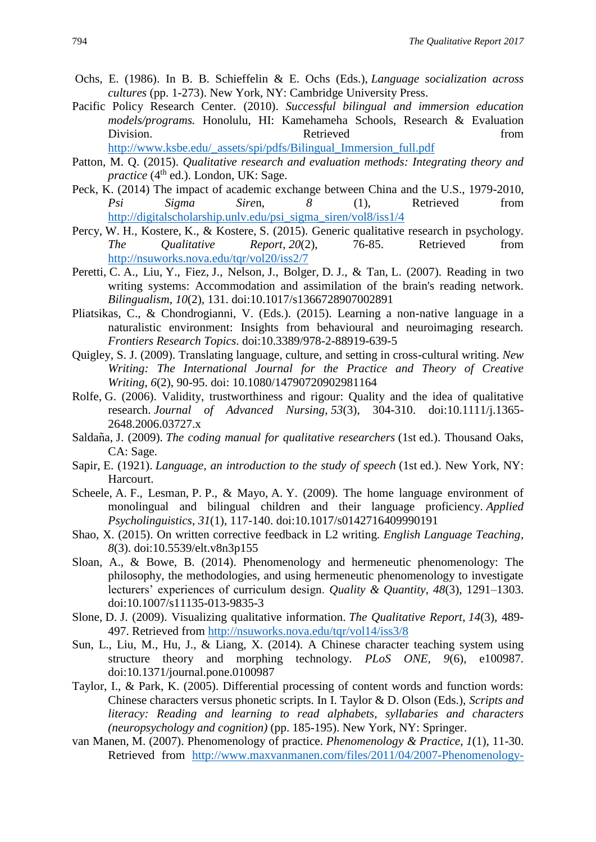- Ochs, E. (1986). In B. B. Schieffelin & E. Ochs (Eds.), *Language socialization across cultures* (pp. 1-273). New York, NY: Cambridge University Press.
- Pacific Policy Research Center. (2010). *Successful bilingual and immersion education models/programs.* Honolulu, HI: Kamehameha Schools, Research & Evaluation Division. Retrieved from Retrieved from the set of the set of the set of the set of the set of the set of the set of the set of the set of the set of the set of the set of the set of the set of the set of the set of the se [http://www.ksbe.edu/\\_assets/spi/pdfs/Bilingual\\_Immersion\\_full.pdf](http://www.ksbe.edu/_assets/spi/pdfs/Bilingual_Immersion_full.pdf)
- Patton, M. Q. (2015). *Qualitative research and evaluation methods: Integrating theory and practice* (4<sup>th</sup> ed.). London, UK: Sage.
- Peck, K. (2014) The impact of academic exchange between China and the U.S., 1979-2010, *Psi Sigma Sire*n, *8* (1), Retrieved from [http://digitalscholarship.unlv.edu/psi\\_sigma\\_siren/vol8/iss1/4](http://digitalscholarship.unlv.edu/psi_sigma_siren/vol8/iss1/4)
- Percy, W. H., Kostere, K., & Kostere, S. (2015). Generic qualitative research in psychology. *The Qualitative Report*, *20*(2), 76-85. Retrieved from <http://nsuworks.nova.edu/tqr/vol20/iss2/7>
- Peretti, C. A., Liu, Y., Fiez, J., Nelson, J., Bolger, D. J., & Tan, L. (2007). Reading in two writing systems: Accommodation and assimilation of the brain's reading network. *Bilingualism*, *10*(2), 131. doi:10.1017/s1366728907002891
- Pliatsikas, C., & Chondrogianni, V. (Eds.). (2015). Learning a non-native language in a naturalistic environment: Insights from behavioural and neuroimaging research. *Frontiers Research Topics*. doi:10.3389/978-2-88919-639-5
- Quigley, S. J. (2009). Translating language, culture, and setting in cross-cultural writing. *New Writing: The International Journal for the Practice and Theory of Creative Writing*, *6*(2), 90-95. doi: 10.1080/14790720902981164
- Rolfe, G. (2006). Validity, trustworthiness and rigour: Quality and the idea of qualitative research. *Journal of Advanced Nursing*, *53*(3), 304-310. doi:10.1111/j.1365- 2648.2006.03727.x
- Saldaña, J. (2009). *The coding manual for qualitative researchers* (1st ed.). Thousand Oaks, CA: Sage.
- Sapir, E. (1921). *Language, an introduction to the study of speech* (1st ed.). New York, NY: Harcourt.
- Scheele, A. F., Lesman, P. P., & Mayo, A. Y. (2009). The home language environment of monolingual and bilingual children and their language proficiency. *Applied Psycholinguistics*, *31*(1), 117-140. doi:10.1017/s0142716409990191
- Shao, X. (2015). On written corrective feedback in L2 writing. *English Language Teaching, 8*(3). doi:10.5539/elt.v8n3p155
- Sloan, A., & Bowe, B. (2014). Phenomenology and hermeneutic phenomenology: The philosophy, the methodologies, and using hermeneutic phenomenology to investigate lecturers' experiences of curriculum design. *Quality & Quantity*, *48*(3), 1291–1303. doi:10.1007/s11135-013-9835-3
- Slone, D. J. (2009). Visualizing qualitative information. *The Qualitative Report*, *14*(3), 489- 497. Retrieved from<http://nsuworks.nova.edu/tqr/vol14/iss3/8>
- Sun, L., Liu, M., Hu, J., & Liang, X. (2014). A Chinese character teaching system using structure theory and morphing technology. *PLoS ONE, 9*(6), e100987. doi:10.1371/journal.pone.0100987
- Taylor, I., & Park, K. (2005). Differential processing of content words and function words: Chinese characters versus phonetic scripts. In I. Taylor & D. Olson (Eds.), *Scripts and literacy: Reading and learning to read alphabets, syllabaries and characters (neuropsychology and cognition)* (pp. 185-195). New York, NY: Springer.
- van Manen, M. (2007). Phenomenology of practice. *Phenomenology & Practice*, *1*(1), 11-30. Retrieved from [http://www.maxvanmanen.com/files/2011/04/2007-Phenomenology-](http://www.maxvanmanen.com/files/2011/04/2007-Phenomenology-of-Practice.pdf)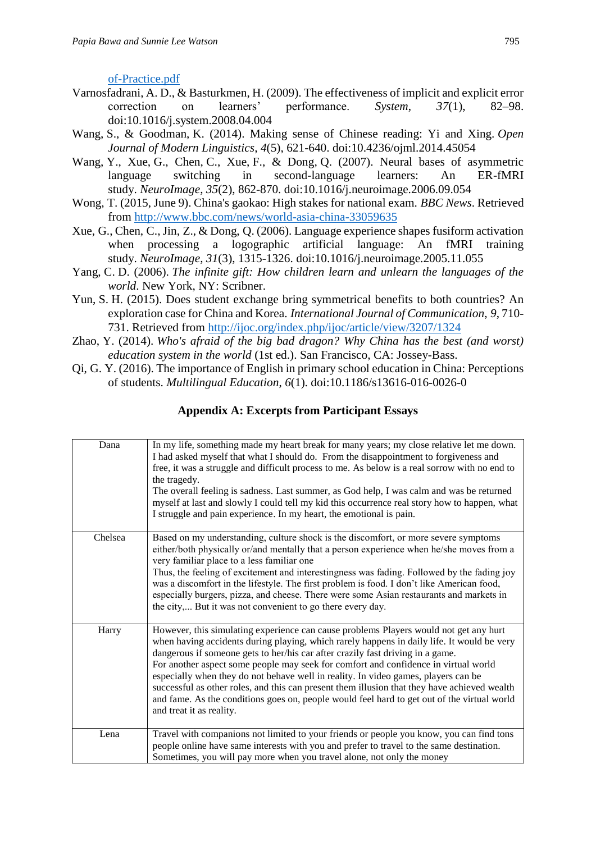[of-Practice.pdf](http://www.maxvanmanen.com/files/2011/04/2007-Phenomenology-of-Practice.pdf)

- Varnosfadrani, A. D., & Basturkmen, H. (2009). The effectiveness of implicit and explicit error correction on learners' performance. *System*, *37*(1), 82–98. doi:10.1016/j.system.2008.04.004
- Wang, S., & Goodman, K. (2014). Making sense of Chinese reading: Yi and Xing. *Open Journal of Modern Linguistics*, *4*(5), 621-640. doi:10.4236/ojml.2014.45054
- Wang, Y., Xue, G., Chen, C., Xue, F., & Dong, Q. (2007). Neural bases of asymmetric language switching in second-language learners: An ER-fMRI study. *NeuroImage*, *35*(2), 862-870. doi:10.1016/j.neuroimage.2006.09.054
- Wong, T. (2015, June 9). China's gaokao: High stakes for national exam. *BBC News*. Retrieved from<http://www.bbc.com/news/world-asia-china-33059635>
- Xue, G., Chen, C., Jin, Z., & Dong, Q. (2006). Language experience shapes fusiform activation when processing a logographic artificial language: An fMRI training study. *NeuroImage*, *31*(3), 1315-1326. doi:10.1016/j.neuroimage.2005.11.055
- Yang, C. D. (2006). *The infinite gift: How children learn and unlearn the languages of the world*. New York, NY: Scribner.
- Yun, S. H. (2015). Does student exchange bring symmetrical benefits to both countries? An exploration case for China and Korea. *International Journal of Communication*, *9*, 710- 731. Retrieved from<http://ijoc.org/index.php/ijoc/article/view/3207/1324>
- Zhao, Y. (2014). *Who's afraid of the big bad dragon? Why China has the best (and worst) education system in the world* (1st ed.). San Francisco, CA: Jossey-Bass.
- Qi, G. Y. (2016). The importance of English in primary school education in China: Perceptions of students. *Multilingual Education*, *6*(1). doi:10.1186/s13616-016-0026-0

# **Appendix A: Excerpts from Participant Essays**

| Dana    | In my life, something made my heart break for many years; my close relative let me down.<br>I had asked myself that what I should do. From the disappointment to forgiveness and<br>free, it was a struggle and difficult process to me. As below is a real sorrow with no end to<br>the tragedy.<br>The overall feeling is sadness. Last summer, as God help, I was calm and was be returned<br>myself at last and slowly I could tell my kid this occurrence real story how to happen, what<br>I struggle and pain experience. In my heart, the emotional is pain.                                                                                                          |
|---------|-------------------------------------------------------------------------------------------------------------------------------------------------------------------------------------------------------------------------------------------------------------------------------------------------------------------------------------------------------------------------------------------------------------------------------------------------------------------------------------------------------------------------------------------------------------------------------------------------------------------------------------------------------------------------------|
| Chelsea | Based on my understanding, culture shock is the discomfort, or more severe symptoms<br>either/both physically or/and mentally that a person experience when he/she moves from a<br>very familiar place to a less familiar one<br>Thus, the feeling of excitement and interestingness was fading. Followed by the fading joy<br>was a discomfort in the lifestyle. The first problem is food. I don't like American food,<br>especially burgers, pizza, and cheese. There were some Asian restaurants and markets in<br>the city, But it was not convenient to go there every day.                                                                                             |
| Harry   | However, this simulating experience can cause problems Players would not get any hurt<br>when having accidents during playing, which rarely happens in daily life. It would be very<br>dangerous if someone gets to her/his car after crazily fast driving in a game.<br>For another aspect some people may seek for comfort and confidence in virtual world<br>especially when they do not behave well in reality. In video games, players can be<br>successful as other roles, and this can present them illusion that they have achieved wealth<br>and fame. As the conditions goes on, people would feel hard to get out of the virtual world<br>and treat it as reality. |
| Lena    | Travel with companions not limited to your friends or people you know, you can find tons<br>people online have same interests with you and prefer to travel to the same destination.<br>Sometimes, you will pay more when you travel alone, not only the money                                                                                                                                                                                                                                                                                                                                                                                                                |